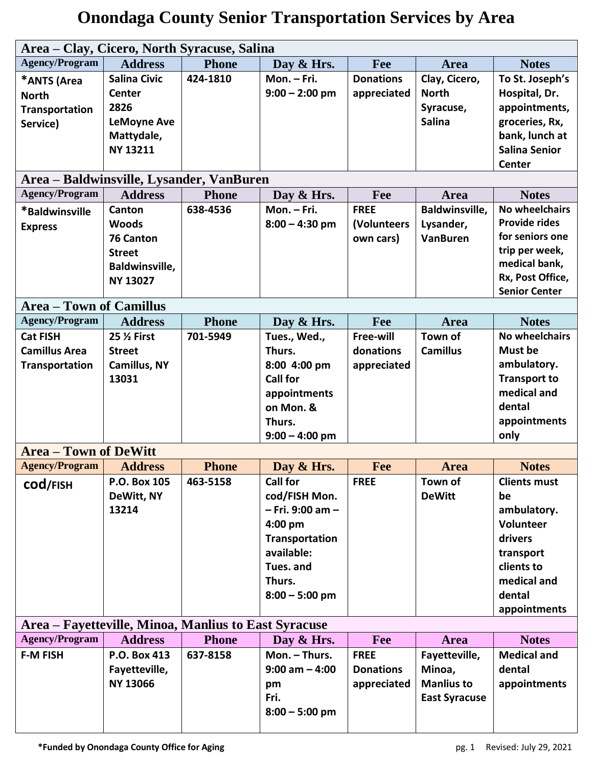| Area - Clay, Cicero, North Syracuse, Salina          |                       |              |                   |                  |                       |                      |
|------------------------------------------------------|-----------------------|--------------|-------------------|------------------|-----------------------|----------------------|
| <b>Agency/Program</b>                                | <b>Address</b>        | <b>Phone</b> | Day & Hrs.        | Fee              | Area                  | <b>Notes</b>         |
| *ANTS (Area                                          | <b>Salina Civic</b>   | 424-1810     | Mon. - Fri.       | <b>Donations</b> | Clay, Cicero,         | To St. Joseph's      |
| <b>North</b>                                         | <b>Center</b>         |              | $9:00 - 2:00$ pm  | appreciated      | <b>North</b>          | Hospital, Dr.        |
| Transportation                                       | 2826                  |              |                   |                  | Syracuse,             | appointments,        |
| Service)                                             | <b>LeMoyne Ave</b>    |              |                   |                  | <b>Salina</b>         | groceries, Rx,       |
|                                                      | Mattydale,            |              |                   |                  |                       | bank, lunch at       |
|                                                      | <b>NY 13211</b>       |              |                   |                  |                       | <b>Salina Senior</b> |
|                                                      |                       |              |                   |                  |                       | <b>Center</b>        |
| Area – Baldwinsville, Lysander, VanBuren             |                       |              |                   |                  |                       |                      |
| <b>Agency/Program</b>                                | <b>Address</b>        | <b>Phone</b> | Day & Hrs.        | Fee              | Area                  | <b>Notes</b>         |
| *Baldwinsville                                       | Canton                | 638-4536     | Mon. - Fri.       | <b>FREE</b>      | <b>Baldwinsville,</b> | No wheelchairs       |
| <b>Express</b>                                       | <b>Woods</b>          |              | $8:00 - 4:30$ pm  | (Volunteers      | Lysander,             | <b>Provide rides</b> |
|                                                      | <b>76 Canton</b>      |              |                   | own cars)        | <b>VanBuren</b>       | for seniors one      |
|                                                      | <b>Street</b>         |              |                   |                  |                       | trip per week,       |
|                                                      | <b>Baldwinsville,</b> |              |                   |                  |                       | medical bank,        |
|                                                      | <b>NY 13027</b>       |              |                   |                  |                       | Rx, Post Office,     |
|                                                      |                       |              |                   |                  |                       | <b>Senior Center</b> |
| <b>Area – Town of Camillus</b>                       |                       |              |                   |                  |                       |                      |
| <b>Agency/Program</b>                                | <b>Address</b>        | <b>Phone</b> | Day & Hrs.        | Fee              | <b>Area</b>           | <b>Notes</b>         |
| <b>Cat FISH</b>                                      | 25 % First            | 701-5949     | Tues., Wed.,      | Free-will        | Town of               | No wheelchairs       |
| <b>Camillus Area</b>                                 | <b>Street</b>         |              | Thurs.            | donations        | <b>Camillus</b>       | Must be              |
| <b>Transportation</b>                                | Camillus, NY          |              | 8:00 4:00 pm      | appreciated      |                       | ambulatory.          |
|                                                      | 13031                 |              | <b>Call for</b>   |                  |                       | <b>Transport to</b>  |
|                                                      |                       |              | appointments      |                  |                       | medical and          |
|                                                      |                       |              | on Mon. &         |                  |                       | dental               |
|                                                      |                       |              | Thurs.            |                  |                       | appointments         |
|                                                      |                       |              | $9:00 - 4:00$ pm  |                  |                       | only                 |
| <b>Area - Town of DeWitt</b>                         |                       |              |                   |                  |                       |                      |
| <b>Agency/Program</b>                                | <b>Address</b>        | <b>Phone</b> | Day & Hrs.        | Fee              | <b>Area</b>           | <b>Notes</b>         |
| COd/FISH                                             | P.O. Box 105          | 463-5158     | Call for          | <b>FREE</b>      | Town of               | <b>Clients must</b>  |
|                                                      | DeWitt, NY            |              | cod/FISH Mon.     |                  | <b>DeWitt</b>         | be                   |
|                                                      | 13214                 |              | - Fri. 9:00 am -  |                  |                       | ambulatory.          |
|                                                      |                       |              | 4:00 pm           |                  |                       | Volunteer            |
|                                                      |                       |              | Transportation    |                  |                       | drivers              |
|                                                      |                       |              | available:        |                  |                       | transport            |
|                                                      |                       |              | Tues. and         |                  |                       | clients to           |
|                                                      |                       |              | Thurs.            |                  |                       | medical and          |
|                                                      |                       |              | $8:00 - 5:00$ pm  |                  |                       | dental               |
|                                                      |                       |              |                   |                  |                       | appointments         |
| Area – Fayetteville, Minoa, Manlius to East Syracuse |                       |              |                   |                  |                       |                      |
| <b>Agency/Program</b>                                | <b>Address</b>        | <b>Phone</b> | Day & Hrs.        | Fee              | Area                  | <b>Notes</b>         |
| <b>F-M FISH</b>                                      | P.O. Box 413          | 637-8158     | Mon. - Thurs.     | <b>FREE</b>      | Fayetteville,         | <b>Medical and</b>   |
|                                                      | Fayetteville,         |              | $9:00$ am $-4:00$ | <b>Donations</b> | Minoa,                | dental               |
|                                                      | <b>NY 13066</b>       |              | pm                | appreciated      | <b>Manlius to</b>     | appointments         |
|                                                      |                       |              | Fri.              |                  | <b>East Syracuse</b>  |                      |
|                                                      |                       |              | $8:00 - 5:00$ pm  |                  |                       |                      |
|                                                      |                       |              |                   |                  |                       |                      |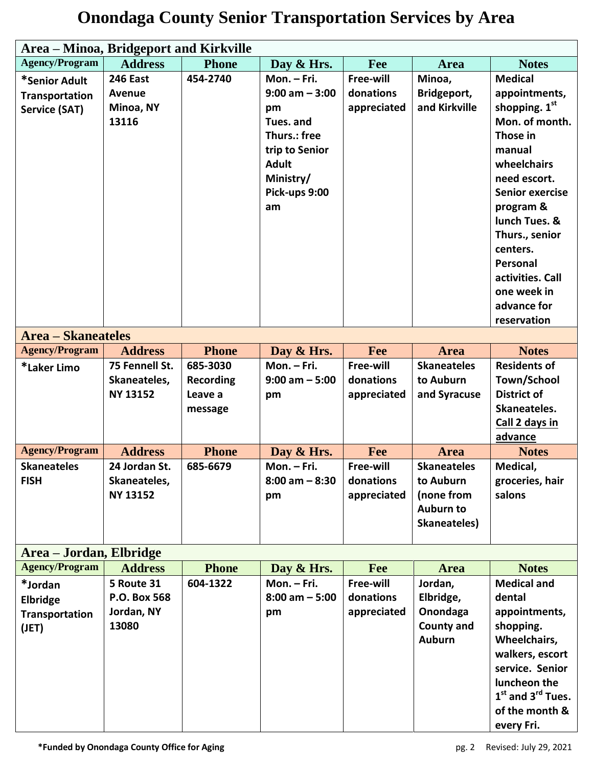#### **Area – Minoa, Bridgeport and Kirkville Agency/Program Address Phone Day & Hrs. Fee Area Notes \*Senior Adult Transportation Service (SAT) 246 East Avenue Minoa, NY 13116 454-2740 Mon. – Fri. 9:00 am – 3:00 pm Tues. and Thurs.: free trip to Senior Adult Ministry/ Pick-ups 9:00 am Free-will donations appreciated Minoa, Bridgeport, and Kirkville Medical appointments, shopping. 1 st Mon. of month. Those in manual wheelchairs need escort. Senior exercise program & lunch Tues. & Thurs., senior centers. Personal activities. Call one week in advance for reservation Area – Skaneateles Agency/Program Address Phone Day & Hrs. Fee Area Notes \*Laker Limo 75 Fennell St. Skaneateles, NY 13152 685-3030 Recording Leave a message Mon. – Fri. 9:00 am – 5:00 pm Free-will donations appreciated Skaneateles to Auburn and Syracuse Residents of Town/School District of Skaneateles. Call 2 days in advance Agency/Program Address Phone Day & Hrs. Fee Area Notes Skaneateles FISH 24 Jordan St. Skaneateles, NY 13152 685-6679 Mon. – Fri. 8:00 am – 8:30 pm Free-will donations appreciated Skaneateles to Auburn (none from Auburn to Skaneateles) Medical, groceries, hair salons Area – Jordan, Elbridge Agency/Program Address Phone Day & Hrs. Fee Area Notes \*Jordan Elbridge Transportation (JET) 5 Route 31 P.O. Box 568 Jordan, NY 13080 604-1322 Mon. – Fri. 8:00 am – 5:00 pm Free-will donations appreciated Jordan, Elbridge, Onondaga County and Auburn Medical and dental appointments, shopping. Wheelchairs, walkers, escort service. Senior luncheon the 1 st and 3rd Tues. of the month &**

#### **Onondaga County Senior Transportation Services by Area**

**every Fri.**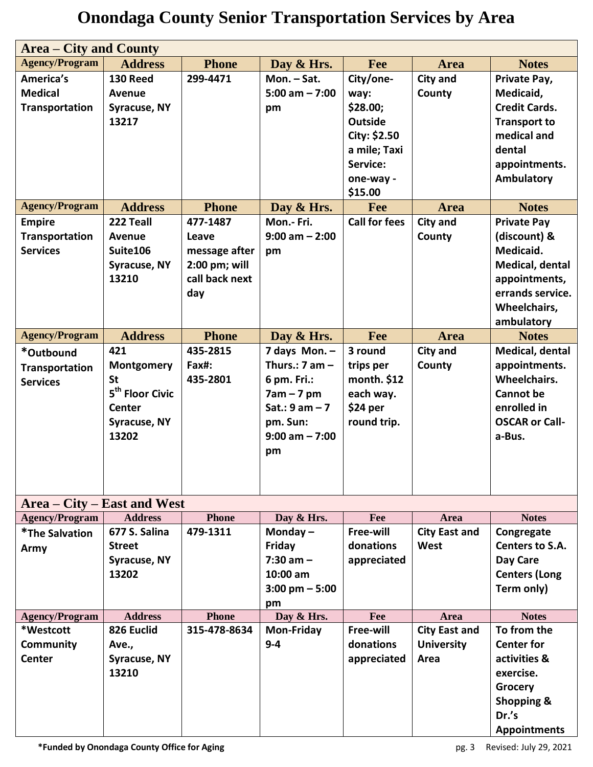| <b>Area – City and County</b> |                             |                |                          |                      |                      |                       |
|-------------------------------|-----------------------------|----------------|--------------------------|----------------------|----------------------|-----------------------|
| <b>Agency/Program</b>         | <b>Address</b>              | <b>Phone</b>   | Day & Hrs.               | <b>Fee</b>           | <b>Area</b>          | <b>Notes</b>          |
| America's                     | <b>130 Reed</b>             | 299-4471       | Mon. - Sat.              | City/one-            | <b>City and</b>      | Private Pay,          |
| <b>Medical</b>                | Avenue                      |                | $5:00$ am $- 7:00$       | way:                 | County               | Medicaid,             |
| Transportation                | Syracuse, NY                |                | pm                       | \$28.00;             |                      | <b>Credit Cards.</b>  |
|                               | 13217                       |                |                          | <b>Outside</b>       |                      | <b>Transport to</b>   |
|                               |                             |                |                          | City: \$2.50         |                      | medical and           |
|                               |                             |                |                          | a mile; Taxi         |                      | dental                |
|                               |                             |                |                          | Service:             |                      | appointments.         |
|                               |                             |                |                          | one-way -            |                      | Ambulatory            |
|                               |                             |                |                          | \$15.00              |                      |                       |
| <b>Agency/Program</b>         | <b>Address</b>              | <b>Phone</b>   | Day & Hrs.               | Fee                  | <b>Area</b>          | <b>Notes</b>          |
| <b>Empire</b>                 | 222 Teall                   | 477-1487       | Mon.- Fri.               | <b>Call for fees</b> | <b>City and</b>      | <b>Private Pay</b>    |
| Transportation                | <b>Avenue</b>               | Leave          | $9:00$ am $- 2:00$       |                      | County               | (discount) &          |
| <b>Services</b>               | Suite106                    | message after  | pm                       |                      |                      | Medicaid.             |
|                               | Syracuse, NY                | 2:00 pm; will  |                          |                      |                      | Medical, dental       |
|                               | 13210                       | call back next |                          |                      |                      | appointments,         |
|                               |                             | day            |                          |                      |                      | errands service.      |
|                               |                             |                |                          |                      |                      | Wheelchairs,          |
|                               |                             |                |                          |                      |                      | ambulatory            |
| <b>Agency/Program</b>         | <b>Address</b>              | <b>Phone</b>   | Day & Hrs.               | Fee                  | <b>Area</b>          | <b>Notes</b>          |
| *Outbound                     | 421                         | 435-2815       | 7 days Mon. -            | 3 round              | <b>City and</b>      | Medical, dental       |
| Transportation                | Montgomery                  | Fax#:          | Thurs.: $7$ am $-$       | trips per            | County               | appointments.         |
| <b>Services</b>               | <b>St</b>                   | 435-2801       | 6 pm. Fri.:              | month. \$12          |                      | Wheelchairs.          |
|                               | 5 <sup>th</sup> Floor Civic |                | $7am - 7pm$              | each way.            |                      | <b>Cannot</b> be      |
|                               | Center                      |                | Sat.: $9$ am $-7$        | \$24 per             |                      | enrolled in           |
|                               | Syracuse, NY                |                | pm. Sun:                 | round trip.          |                      | <b>OSCAR or Call-</b> |
|                               | 13202                       |                | $9:00$ am $-7:00$        |                      |                      | a-Bus.                |
|                               |                             |                | pm                       |                      |                      |                       |
|                               |                             |                |                          |                      |                      |                       |
|                               |                             |                |                          |                      |                      |                       |
| Area - City - East and West   |                             |                |                          |                      |                      |                       |
| <b>Agency/Program</b>         | <b>Address</b>              | <b>Phone</b>   | Day & Hrs.               | Fee                  | Area                 | <b>Notes</b>          |
| *The Salvation                | 677 S. Salina               | 479-1311       | Monday $-$               | Free-will            | <b>City East and</b> | Congregate            |
| Army                          | <b>Street</b>               |                | Friday                   | donations            | West                 | Centers to S.A.       |
|                               | Syracuse, NY                |                | $7:30$ am $-$            | appreciated          |                      | Day Care              |
|                               | 13202                       |                | $10:00$ am               |                      |                      | <b>Centers (Long</b>  |
|                               |                             |                | $3:00 \text{ pm} - 5:00$ |                      |                      | Term only)            |
|                               |                             |                | pm                       |                      |                      |                       |
| <b>Agency/Program</b>         | <b>Address</b>              | <b>Phone</b>   | Day & Hrs.               | Fee                  | Area                 | <b>Notes</b>          |
| *Westcott                     | 826 Euclid                  | 315-478-8634   | <b>Mon-Friday</b>        | Free-will            | <b>City East and</b> | To from the           |
| Community                     | Ave.,                       |                | $9 - 4$                  | donations            | <b>University</b>    | <b>Center for</b>     |
| <b>Center</b>                 | Syracuse, NY                |                |                          | appreciated          | Area                 | activities &          |
|                               | 13210                       |                |                          |                      |                      | exercise.             |
|                               |                             |                |                          |                      |                      | Grocery               |
|                               |                             |                |                          |                      |                      | <b>Shopping &amp;</b> |
|                               |                             |                |                          |                      |                      | Dr.'s                 |
|                               |                             |                |                          |                      |                      | <b>Appointments</b>   |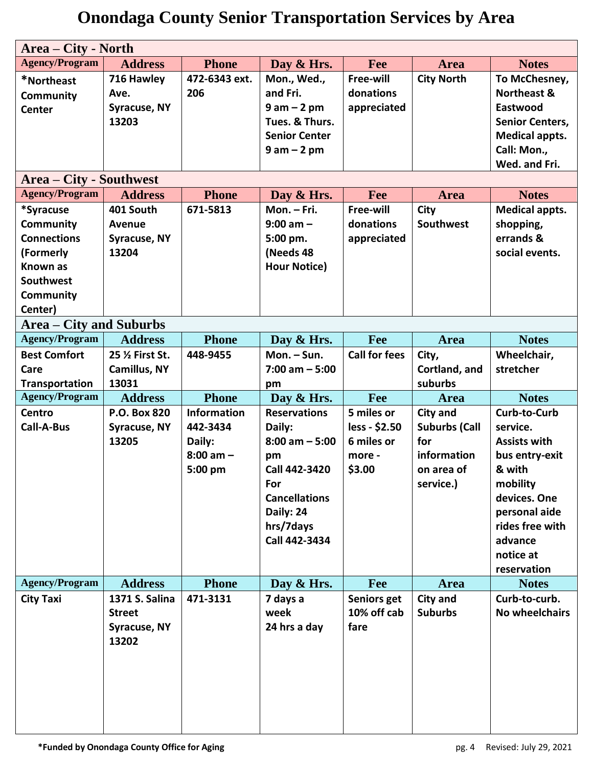| Area – City - North            |                     |                    |                      |                      |                      |                        |
|--------------------------------|---------------------|--------------------|----------------------|----------------------|----------------------|------------------------|
| <b>Agency/Program</b>          | <b>Address</b>      | <b>Phone</b>       | Day & Hrs.           | Fee                  | Area                 | <b>Notes</b>           |
| *Northeast                     | 716 Hawley          | 472-6343 ext.      | Mon., Wed.,          | Free-will            | <b>City North</b>    | To McChesney,          |
| <b>Community</b>               | Ave.                | 206                | and Fri.             | donations            |                      | <b>Northeast &amp;</b> |
| <b>Center</b>                  | <b>Syracuse, NY</b> |                    | $9 am - 2 pm$        | appreciated          |                      | Eastwood               |
|                                | 13203               |                    | Tues. & Thurs.       |                      |                      | <b>Senior Centers,</b> |
|                                |                     |                    | <b>Senior Center</b> |                      |                      | <b>Medical appts.</b>  |
|                                |                     |                    | $9 am - 2 pm$        |                      |                      | Call: Mon.,            |
|                                |                     |                    |                      |                      |                      | Wed. and Fri.          |
| <b>Area – City - Southwest</b> |                     |                    |                      |                      |                      |                        |
| <b>Agency/Program</b>          | <b>Address</b>      | <b>Phone</b>       | Day & Hrs.           | Fee                  | <b>Area</b>          | <b>Notes</b>           |
| *Syracuse                      | 401 South           | 671-5813           | Mon. - Fri.          | Free-will            | City                 | <b>Medical appts.</b>  |
| <b>Community</b>               | Avenue              |                    | $9:00$ am $-$        | donations            | Southwest            | shopping,              |
| <b>Connections</b>             | Syracuse, NY        |                    | 5:00 pm.             | appreciated          |                      | errands &              |
| (Formerly                      | 13204               |                    | (Needs 48            |                      |                      | social events.         |
| <b>Known as</b>                |                     |                    | <b>Hour Notice)</b>  |                      |                      |                        |
| Southwest                      |                     |                    |                      |                      |                      |                        |
| <b>Community</b>               |                     |                    |                      |                      |                      |                        |
| Center)                        |                     |                    |                      |                      |                      |                        |
| <b>Area – City and Suburbs</b> |                     |                    |                      |                      |                      |                        |
| <b>Agency/Program</b>          | <b>Address</b>      | <b>Phone</b>       | Day & Hrs.           | Fee                  | <b>Area</b>          | <b>Notes</b>           |
| <b>Best Comfort</b>            | 25 % First St.      | 448-9455           | Mon. - Sun.          | <b>Call for fees</b> | City,                | Wheelchair,            |
| Care                           | Camillus, NY        |                    | $7:00$ am $-5:00$    |                      | Cortland, and        | stretcher              |
| Transportation                 | 13031               |                    | pm                   |                      | suburbs              |                        |
| <b>Agency/Program</b>          | <b>Address</b>      | <b>Phone</b>       | Day & Hrs.           | Fee                  | <b>Area</b>          | <b>Notes</b>           |
| <b>Centro</b>                  | P.O. Box 820        | <b>Information</b> | <b>Reservations</b>  | 5 miles or           | <b>City and</b>      | Curb-to-Curb           |
| <b>Call-A-Bus</b>              | Syracuse, NY        | 442-3434           | Daily:               | less - \$2.50        | <b>Suburbs (Call</b> | service.               |
|                                | 13205               | Daily:             | $8:00$ am $-5:00$    | 6 miles or           | for                  | <b>Assists with</b>    |
|                                |                     | $8:00$ am $-$      | pm                   | more -               | information          | bus entry-exit         |
|                                |                     | 5:00 pm            | Call 442-3420        | \$3.00               | on area of           | & with                 |
|                                |                     |                    | For                  |                      | service.)            | mobility               |
|                                |                     |                    | <b>Cancellations</b> |                      |                      | devices. One           |
|                                |                     |                    | Daily: 24            |                      |                      | personal aide          |
|                                |                     |                    | hrs/7days            |                      |                      | rides free with        |
|                                |                     |                    | Call 442-3434        |                      |                      | advance                |
|                                |                     |                    |                      |                      |                      | notice at              |
|                                |                     |                    |                      |                      |                      | reservation            |
| <b>Agency/Program</b>          | <b>Address</b>      | <b>Phone</b>       | Day & Hrs.           | Fee                  | Area                 | <b>Notes</b>           |
| <b>City Taxi</b>               | 1371 S. Salina      | 471-3131           | 7 days a             | Seniors get          | <b>City and</b>      | Curb-to-curb.          |
|                                | <b>Street</b>       |                    | week                 | 10% off cab          | <b>Suburbs</b>       | <b>No wheelchairs</b>  |
|                                | Syracuse, NY        |                    | 24 hrs a day         | fare                 |                      |                        |
|                                | 13202               |                    |                      |                      |                      |                        |
|                                |                     |                    |                      |                      |                      |                        |
|                                |                     |                    |                      |                      |                      |                        |
|                                |                     |                    |                      |                      |                      |                        |
|                                |                     |                    |                      |                      |                      |                        |
|                                |                     |                    |                      |                      |                      |                        |
|                                |                     |                    |                      |                      |                      |                        |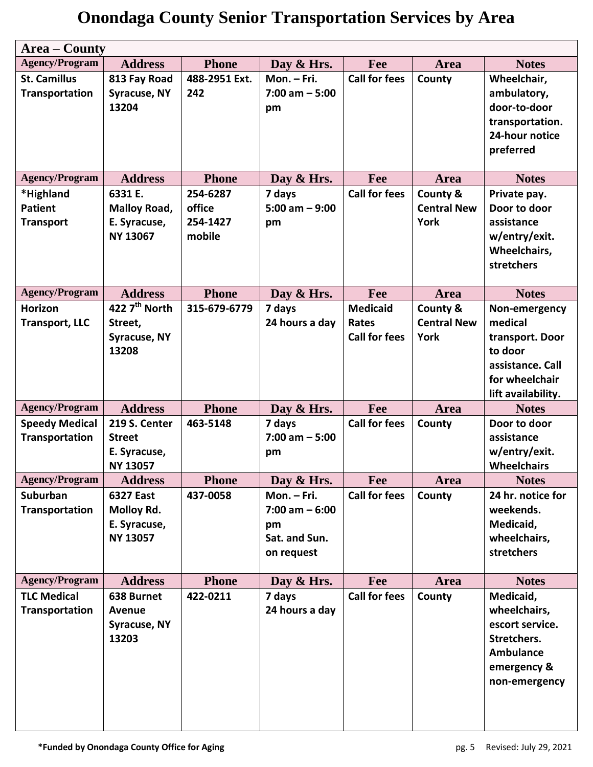| <b>Area – County</b>  |                                        |               |                   |                      |                    |                                    |
|-----------------------|----------------------------------------|---------------|-------------------|----------------------|--------------------|------------------------------------|
| <b>Agency/Program</b> | <b>Address</b>                         | <b>Phone</b>  | Day & Hrs.        | Fee                  | <b>Area</b>        | <b>Notes</b>                       |
| <b>St. Camillus</b>   | 813 Fay Road                           | 488-2951 Ext. | Mon. - Fri.       | <b>Call for fees</b> | County             | Wheelchair,                        |
| <b>Transportation</b> | <b>Syracuse, NY</b>                    | 242           | $7:00$ am $-5:00$ |                      |                    | ambulatory,                        |
|                       | 13204                                  |               | pm                |                      |                    | door-to-door                       |
|                       |                                        |               |                   |                      |                    | transportation.                    |
|                       |                                        |               |                   |                      |                    | 24-hour notice                     |
|                       |                                        |               |                   |                      |                    | preferred                          |
| <b>Agency/Program</b> | <b>Address</b>                         | <b>Phone</b>  | Day & Hrs.        | Fee                  | <b>Area</b>        | <b>Notes</b>                       |
| *Highland             | 6331 E.                                | 254-6287      | 7 days            | <b>Call for fees</b> | County &           | Private pay.                       |
| <b>Patient</b>        | Malloy Road,                           | office        | $5:00$ am $-9:00$ |                      | <b>Central New</b> | Door to door                       |
| <b>Transport</b>      | E. Syracuse,                           | 254-1427      | pm                |                      | <b>York</b>        | assistance                         |
|                       | <b>NY 13067</b>                        | mobile        |                   |                      |                    | w/entry/exit.                      |
|                       |                                        |               |                   |                      |                    | Wheelchairs,                       |
|                       |                                        |               |                   |                      |                    | stretchers                         |
| <b>Agency/Program</b> | <b>Address</b>                         | <b>Phone</b>  | Day & Hrs.        | Fee                  | Area               | <b>Notes</b>                       |
| Horizon               | $\overline{422}$ 7 <sup>th</sup> North | 315-679-6779  | 7 days            | <b>Medicaid</b>      | County &           | Non-emergency                      |
| <b>Transport, LLC</b> | Street,                                |               | 24 hours a day    | Rates                | <b>Central New</b> | medical                            |
|                       | <b>Syracuse, NY</b>                    |               |                   | <b>Call for fees</b> | York               | transport. Door                    |
|                       | 13208                                  |               |                   |                      |                    | to door                            |
|                       |                                        |               |                   |                      |                    | assistance. Call                   |
|                       |                                        |               |                   |                      |                    | for wheelchair                     |
|                       |                                        |               |                   |                      |                    | lift availability.                 |
| <b>Agency/Program</b> | <b>Address</b>                         | <b>Phone</b>  | Day & Hrs.        | Fee                  | Area               | <b>Notes</b>                       |
| <b>Speedy Medical</b> | 219 S. Center                          | 463-5148      | 7 days            | <b>Call for fees</b> | County             | Door to door                       |
| Transportation        | <b>Street</b>                          |               | $7:00$ am $-5:00$ |                      |                    | assistance                         |
|                       | E. Syracuse,                           |               | pm                |                      |                    | w/entry/exit.                      |
| <b>Agency/Program</b> | <b>NY 13057</b><br><b>Address</b>      | <b>Phone</b>  | Day & Hrs.        | Fee                  | <b>Area</b>        | <b>Wheelchairs</b><br><b>Notes</b> |
| Suburban              | 6327 East                              | 437-0058      | Mon. - Fri.       | <b>Call for fees</b> | County             | 24 hr. notice for                  |
| Transportation        | Molloy Rd.                             |               | $7:00$ am $-6:00$ |                      |                    | weekends.                          |
|                       | E. Syracuse,                           |               | pm                |                      |                    | Medicaid,                          |
|                       | <b>NY 13057</b>                        |               | Sat. and Sun.     |                      |                    | wheelchairs,                       |
|                       |                                        |               | on request        |                      |                    | stretchers                         |
|                       |                                        |               |                   |                      |                    |                                    |
| <b>Agency/Program</b> | <b>Address</b>                         | <b>Phone</b>  | Day & Hrs.        | Fee                  | <b>Area</b>        | <b>Notes</b>                       |
| <b>TLC Medical</b>    | 638 Burnet                             | 422-0211      | 7 days            | <b>Call for fees</b> | County             | Medicaid,                          |
| Transportation        | <b>Avenue</b>                          |               | 24 hours a day    |                      |                    | wheelchairs,                       |
|                       | Syracuse, NY                           |               |                   |                      |                    | escort service.                    |
|                       | 13203                                  |               |                   |                      |                    | Stretchers.                        |
|                       |                                        |               |                   |                      |                    | <b>Ambulance</b>                   |
|                       |                                        |               |                   |                      |                    | emergency &                        |
|                       |                                        |               |                   |                      |                    | non-emergency                      |
|                       |                                        |               |                   |                      |                    |                                    |
|                       |                                        |               |                   |                      |                    |                                    |